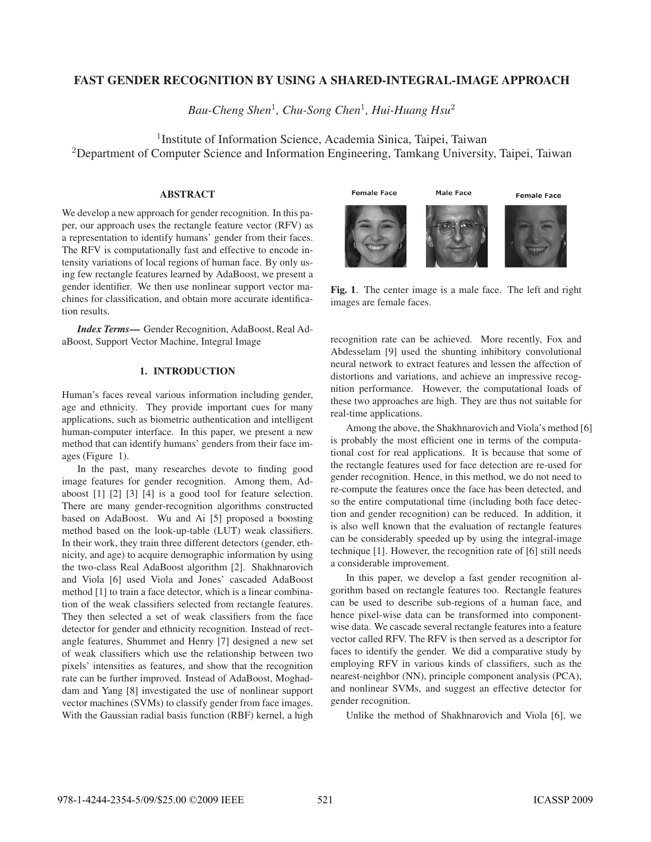# FAST GENDER RECOGNITION BY USING A SHARED-INTEGRAL-IMAGE APPROACH

*Bau-Cheng Shen*<sup>1</sup>*, Chu-Song Chen*<sup>1</sup>*, Hui-Huang Hsu*<sup>2</sup>

<sup>1</sup> Institute of Information Science, Academia Sinica, Taipei, Taiwan <sup>2</sup>Department of Computer Science and Information Engineering, Tamkang University, Taipei, Taiwan

## ABSTRACT

We develop a new approach for gender recognition. In this paper, our approach uses the rectangle feature vector (RFV) as a representation to identify humans' gender from their faces. The RFV is computationally fast and effective to encode intensity variations of local regions of human face. By only using few rectangle features learned by AdaBoost, we present a gender identifier. We then use nonlinear support vector machines for classification, and obtain more accurate identification results.

*Index Terms*— Gender Recognition, AdaBoost, Real AdaBoost, Support Vector Machine, Integral Image

# 1. INTRODUCTION

Human's faces reveal various information including gender, age and ethnicity. They provide important cues for many applications, such as biometric authentication and intelligent human-computer interface. In this paper, we present a new method that can identify humans' genders from their face images (Figure 1).

In the past, many researches devote to finding good image features for gender recognition. Among them, Adaboost [1] [2] [3] [4] is a good tool for feature selection. There are many gender-recognition algorithms constructed based on AdaBoost. Wu and Ai [5] proposed a boosting method based on the look-up-table (LUT) weak classifiers. In their work, they train three different detectors (gender, ethnicity, and age) to acquire demographic information by using the two-class Real AdaBoost algorithm [2]. Shakhnarovich and Viola [6] used Viola and Jones' cascaded AdaBoost method [1] to train a face detector, which is a linear combination of the weak classifiers selected from rectangle features. They then selected a set of weak classifiers from the face detector for gender and ethnicity recognition. Instead of rectangle features, Shummet and Henry [7] designed a new set of weak classifiers which use the relationship between two pixels' intensities as features, and show that the recognition rate can be further improved. Instead of AdaBoost, Moghaddam and Yang [8] investigated the use of nonlinear support vector machines (SVMs) to classify gender from face images. With the Gaussian radial basis function (RBF) kernel, a high



Fig. 1. The center image is a male face. The left and right images are female faces.

recognition rate can be achieved. More recently, Fox and Abdesselam [9] used the shunting inhibitory convolutional neural network to extract features and lessen the affection of distortions and variations, and achieve an impressive recognition performance. However, the computational loads of these two approaches are high. They are thus not suitable for real-time applications.

Among the above, the Shakhnarovich and Viola's method [6] is probably the most efficient one in terms of the computational cost for real applications. It is because that some of the rectangle features used for face detection are re-used for gender recognition. Hence, in this method, we do not need to re-compute the features once the face has been detected, and so the entire computational time (including both face detection and gender recognition) can be reduced. In addition, it is also well known that the evaluation of rectangle features can be considerably speeded up by using the integral-image technique [1]. However, the recognition rate of [6] still needs a considerable improvement.

In this paper, we develop a fast gender recognition algorithm based on rectangle features too. Rectangle features can be used to describe sub-regions of a human face, and hence pixel-wise data can be transformed into componentwise data. We cascade several rectangle features into a feature vector called RFV. The RFV is then served as a descriptor for faces to identify the gender. We did a comparative study by employing RFV in various kinds of classifiers, such as the nearest-neighbor (NN), principle component analysis (PCA), and nonlinear SVMs, and suggest an effective detector for gender recognition.

Unlike the method of Shakhnarovich and Viola [6], we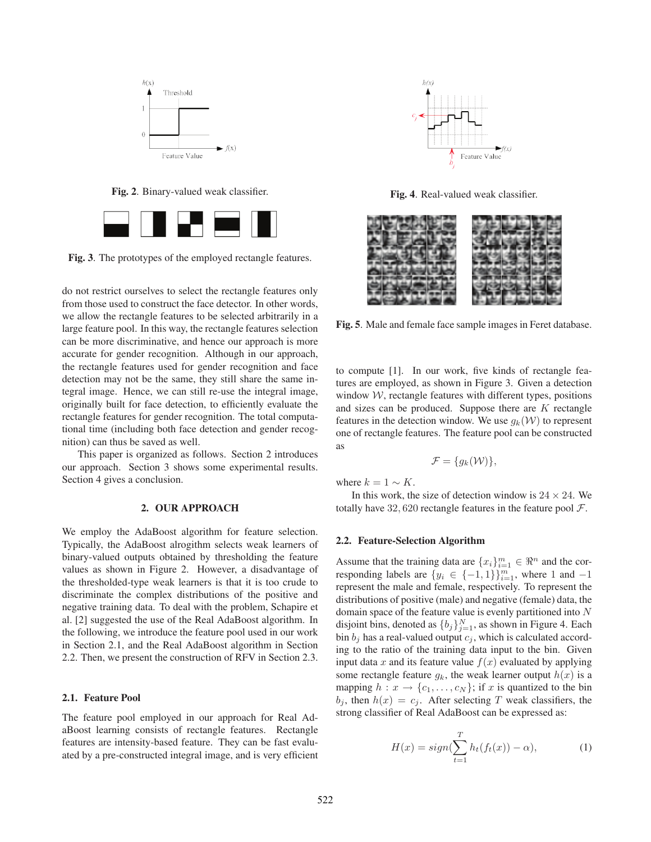

Fig. 2. Binary-valued weak classifier.



Fig. 3. The prototypes of the employed rectangle features.

do not restrict ourselves to select the rectangle features only from those used to construct the face detector. In other words, we allow the rectangle features to be selected arbitrarily in a large feature pool. In this way, the rectangle features selection can be more discriminative, and hence our approach is more accurate for gender recognition. Although in our approach, the rectangle features used for gender recognition and face detection may not be the same, they still share the same integral image. Hence, we can still re-use the integral image, originally built for face detection, to efficiently evaluate the rectangle features for gender recognition. The total computational time (including both face detection and gender recognition) can thus be saved as well.

This paper is organized as follows. Section 2 introduces our approach. Section 3 shows some experimental results. Section 4 gives a conclusion.

## 2. OUR APPROACH

We employ the AdaBoost algorithm for feature selection. Typically, the AdaBoost alrogithm selects weak learners of binary-valued outputs obtained by thresholding the feature values as shown in Figure 2. However, a disadvantage of the thresholded-type weak learners is that it is too crude to discriminate the complex distributions of the positive and negative training data. To deal with the problem, Schapire et al. [2] suggested the use of the Real AdaBoost algorithm. In the following, we introduce the feature pool used in our work in Section 2.1, and the Real AdaBoost algorithm in Section 2.2. Then, we present the construction of RFV in Section 2.3.

#### 2.1. Feature Pool

The feature pool employed in our approach for Real AdaBoost learning consists of rectangle features. Rectangle features are intensity-based feature. They can be fast evaluated by a pre-constructed integral image, and is very efficient



Fig. 4. Real-valued weak classifier.



Fig. 5. Male and female face sample images in Feret database.

to compute [1]. In our work, five kinds of rectangle features are employed, as shown in Figure 3. Given a detection window  $W$ , rectangle features with different types, positions and sizes can be produced. Suppose there are  $K$  rectangle features in the detection window. We use  $g_k(\mathcal{W})$  to represent one of rectangle features. The feature pool can be constructed as

$$
\mathcal{F} = \{g_k(\mathcal{W})\},\
$$

where  $k = 1 \sim K$ .

In this work, the size of detection window is  $24 \times 24$ . We totally have 32, 620 rectangle features in the feature pool  $\mathcal{F}$ .

#### 2.2. Feature-Selection Algorithm

Assume that the training data are  $\{x_i\}_{i=1}^m \in \mathbb{R}^n$  and the corresponding labels are  $\{y_i\}_{i=1}^m \in \mathcal{I}_{-1}$  and  $\mathbb{R}^n$  where 1 and  $-1$ responding labels are  $\{y_i \in \{-1,1\}\}_{i=1}^m$ , where 1 and -1<br>represent the male and female, respectively. To represent the represent the male and female, respectively. To represent the distributions of positive (male) and negative (female) data, the domain space of the feature value is evenly partitioned into  $N$ disjoint bins, denoted as  $\{b_j\}_{j=1}^N$ , as shown in Figure 4. Each bin  $b_j$ , has a real-valued output  $c_j$ , which is calculated accordbin  $b_i$  has a real-valued output  $c_i$ , which is calculated according to the ratio of the training data input to the bin. Given input data x and its feature value  $f(x)$  evaluated by applying some rectangle feature  $g_k$ , the weak learner output  $h(x)$  is a mapping  $h: x \to \{c_1, \ldots, c_N\}$ ; if x is quantized to the bin  $b_j$ , then  $h(x) = c_j$ . After selecting T weak classifiers, the strong classifier of Real AdaBoost can be expressed as:

$$
H(x) = sign(\sum_{t=1}^{T} h_t(f_t(x)) - \alpha), \qquad (1)
$$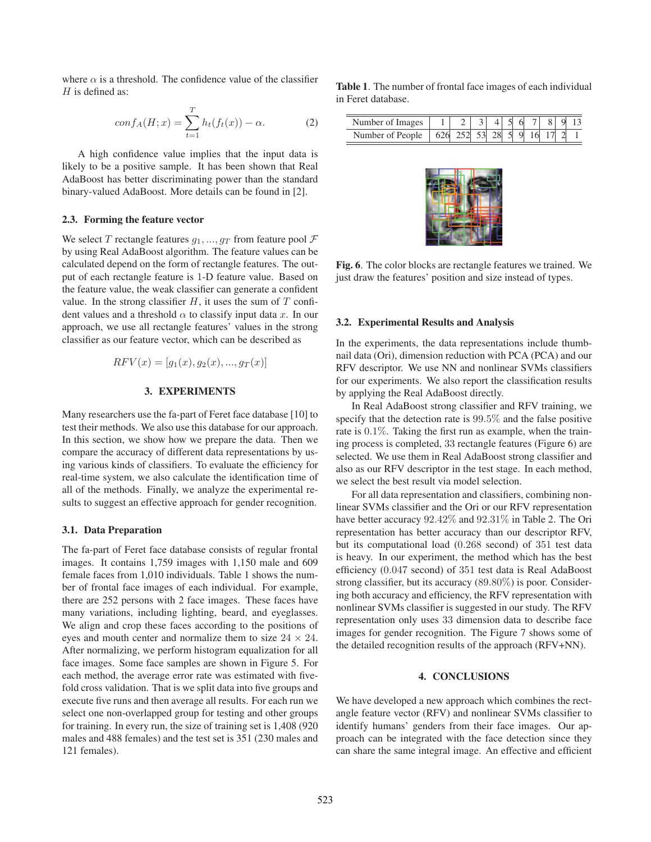where  $\alpha$  is a threshold. The confidence value of the classifier  $H$  is defined as:

$$
conf_A(H; x) = \sum_{t=1}^{T} h_t(f_t(x)) - \alpha.
$$
 (2)

A high confidence value implies that the input data is likely to be a positive sample. It has been shown that Real AdaBoost has better discriminating power than the standard binary-valued AdaBoost. More details can be found in [2].

# 2.3. Forming the feature vector

We select T rectangle features  $g_1, ..., g_T$  from feature pool  $\mathcal F$ by using Real AdaBoost algorithm. The feature values can be calculated depend on the form of rectangle features. The output of each rectangle feature is 1-D feature value. Based on the feature value, the weak classifier can generate a confident value. In the strong classifier  $H$ , it uses the sum of  $T$  confident values and a threshold  $\alpha$  to classify input data x. In our approach, we use all rectangle features' values in the strong classifier as our feature vector, which can be described as

$$
RFV(x) = [g_1(x), g_2(x), ..., g_T(x)]
$$

## 3. EXPERIMENTS

Many researchers use the fa-part of Feret face database [10] to test their methods. We also use this database for our approach. In this section, we show how we prepare the data. Then we compare the accuracy of different data representations by using various kinds of classifiers. To evaluate the efficiency for real-time system, we also calculate the identification time of all of the methods. Finally, we analyze the experimental results to suggest an effective approach for gender recognition.

#### 3.1. Data Preparation

The fa-part of Feret face database consists of regular frontal images. It contains 1,759 images with 1,150 male and 609 female faces from 1,010 individuals. Table 1 shows the number of frontal face images of each individual. For example, there are 252 persons with 2 face images. These faces have many variations, including lighting, beard, and eyeglasses. We align and crop these faces according to the positions of eyes and mouth center and normalize them to size  $24 \times 24$ . After normalizing, we perform histogram equalization for all face images. Some face samples are shown in Figure 5. For each method, the average error rate was estimated with fivefold cross validation. That is we split data into five groups and execute five runs and then average all results. For each run we select one non-overlapped group for testing and other groups for training. In every run, the size of training set is 1,408 (920 males and 488 females) and the test set is 351 (230 males and 121 females).

Table 1. The number of frontal face images of each individual in Feret database.

| Number of Images       |  |    |              |  |  |
|------------------------|--|----|--------------|--|--|
| Number of People   626 |  | 28 | <sup>Q</sup> |  |  |



Fig. 6. The color blocks are rectangle features we trained. We just draw the features' position and size instead of types.

#### 3.2. Experimental Results and Analysis

In the experiments, the data representations include thumbnail data (Ori), dimension reduction with PCA (PCA) and our RFV descriptor. We use NN and nonlinear SVMs classifiers for our experiments. We also report the classification results by applying the Real AdaBoost directly.

In Real AdaBoost strong classifier and RFV training, we specify that the detection rate is <sup>99</sup>.5% and the false positive rate is <sup>0</sup>.1%. Taking the first run as example, when the training process is completed, 33 rectangle features (Figure 6) are selected. We use them in Real AdaBoost strong classifier and also as our RFV descriptor in the test stage. In each method, we select the best result via model selection.

For all data representation and classifiers, combining nonlinear SVMs classifier and the Ori or our RFV representation have better accuracy <sup>92</sup>.42% and <sup>92</sup>.31% in Table 2. The Ori representation has better accuracy than our descriptor RFV, but its computational load (0.<sup>268</sup> second) of <sup>351</sup> test data is heavy. In our experiment, the method which has the best efficiency (0.<sup>047</sup> second) of <sup>351</sup> test data is Real AdaBoost strong classifier, but its accuracy (89.80%) is poor. Considering both accuracy and efficiency, the RFV representation with nonlinear SVMs classifier is suggested in our study. The RFV representation only uses 33 dimension data to describe face images for gender recognition. The Figure 7 shows some of the detailed recognition results of the approach (RFV+NN).

#### 4. CONCLUSIONS

We have developed a new approach which combines the rectangle feature vector (RFV) and nonlinear SVMs classifier to identify humans' genders from their face images. Our approach can be integrated with the face detection since they can share the same integral image. An effective and efficient